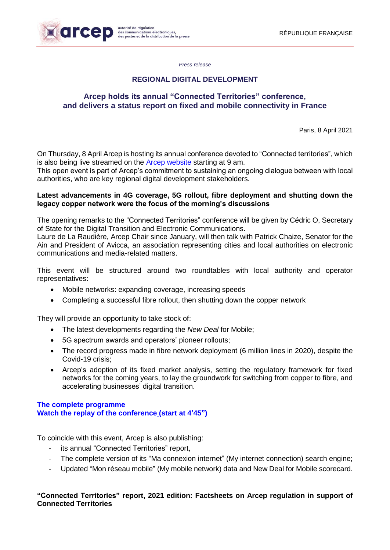

*Press release*

## **REGIONAL DIGITAL DEVELOPMENT**

## **Arcep holds its annual "Connected Territories" conference, and delivers a status report on fixed and mobile connectivity in France**

Paris, 8 April 2021

On Thursday, 8 April Arcep is hosting its annual conference devoted to "Connected territories", which is also being live streamed on the **[Arcep](https://conference.arcep.fr/fr/event/arcep-080421) website** starting at 9 am.

This open event is part of Arcep's commitment to sustaining an ongoing dialogue between with local authorities, who are key regional digital development stakeholders.

#### **Latest advancements in 4G coverage, 5G rollout, fibre deployment and shutting down the legacy copper network were the focus of the morning's discussions**

The opening remarks to the "Connected Territories" conference will be given by Cédric O, Secretary of State for the Digital Transition and Electronic Communications.

Laure de La Raudière, Arcep Chair since January, will then talk with Patrick Chaize, Senator for the Ain and President of Avicca, an association representing cities and local authorities on electronic communications and media-related matters.

This event will be structured around two roundtables with local authority and operator representatives:

- Mobile networks: expanding coverage, increasing speeds
- Completing a successful fibre rollout, then shutting down the copper network

They will provide an opportunity to take stock of:

- The latest developments regarding the *New Deal* for Mobile;
- 5G spectrum awards and operators' pioneer rollouts;
- The record progress made in fibre network deployment (6 million lines in 2020), despite the Covid-19 crisis;
- Arcep's adoption of its fixed market analysis, setting the regulatory framework for fixed networks for the coming years, to lay the groundwork for switching from copper to fibre, and accelerating businesses' digital transition.

#### **[The complete](https://www.arcep.fr/fileadmin/reprise/dossiers/collectivites/Conf-TC-2021/Programme_Conference_territoires_connectes_8_avril_2021.pdf) programme [Watch the replay of the conference](https://conference.arcep.fr/fr/event/arcep-080421) (start at 4'45")**

To coincide with this event, Arcep is also publishing:

- its annual "Connected Territories" report,
- The complete version of its "Ma connexion internet" (My internet connection) search engine;
- Updated "Mon réseau mobile" (My mobile network) data and New Deal for Mobile scorecard.

#### **"Connected Territories" report, 2021 edition: Factsheets on Arcep regulation in support of Connected Territories**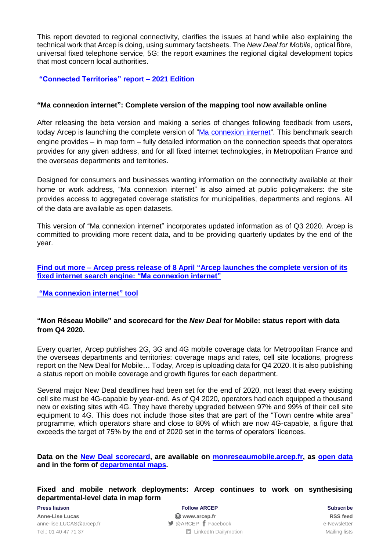This report devoted to regional connectivity, clarifies the issues at hand while also explaining the technical work that Arcep is doing, using summary factsheets. The *New Deal for Mobile*, optical fibre, universal fixed telephone service, 5G: the report examines the regional digital development topics that most concern local authorities.

## **["Connected Territories"](https://www.arcep.fr/uploads/tx_gspublication/rapport-TC-2021-RA2021-TOME2.pdf) report – 2021 Edition**

## **"Ma connexion internet": Complete version of the mapping tool now available online**

After releasing the beta version and making a series of changes following feedback from users, today Arcep is launching the complete version of ["Ma connexion internet"](https://maconnexioninternet.arcep.fr/). This benchmark search engine provides – in map form – fully detailed information on the connection speeds that operators provides for any given address, and for all fixed internet technologies, in Metropolitan France and the overseas departments and territories.

Designed for consumers and businesses wanting information on the connectivity available at their home or work address, "Ma connexion internet" is also aimed at public policymakers: the site provides access to aggregated coverage statistics for municipalities, departments and regions. All of the data are available as open datasets.

This version of "Ma connexion internet" incorporates updated information as of Q3 2020. Arcep is committed to providing more recent data, and to be providing quarterly updates by the end of the year.

**Find out more – Arcep press release of [8 April "Arcep launches the complete](https://en.arcep.fr/news/press-releases/view/n/regional-digital-development-mci-080421.html) version of its fixed [internet search engine: "Ma connexion internet"](https://en.arcep.fr/news/press-releases/view/n/regional-digital-development-mci-080421.html)**

**["Ma connexion internet"](https://maconnexioninternet.arcep.fr/) tool**

#### **"Mon Réseau Mobile" and scorecard for the** *New Deal* **for Mobile: status report with data from Q4 2020.**

Every quarter, Arcep publishes 2G, 3G and 4G mobile coverage data for Metropolitan France and the overseas departments and territories: coverage maps and rates, cell site locations, progress report on the New Deal for Mobile… Today, Arcep is uploading data for Q4 2020. It is also publishing a status report on mobile coverage and growth figures for each department.

Several major New Deal deadlines had been set for the end of 2020, not least that every existing cell site must be 4G-capable by year-end. As of Q4 2020, operators had each equipped a thousand new or existing sites with 4G. They have thereby upgraded between 97% and 99% of their cell site equipment to 4G. This does not include those sites that are part of the "Town centre white area" programme, which operators share and close to 80% of which are now 4G-capable, a figure that exceeds the target of 75% by the end of 2020 set in the terms of operators' licences.

**Data on the [New Deal](https://www.arcep.fr/cartes-et-donnees/new-deal-mobile.html) scorecard, are available on [monreseaumobile.arcep.fr,](https://monreseaumobile.arcep.fr/) as [open data](https://www.data.gouv.fr/fr/datasets/mon-reseau-mobile/) and in the form of [departmental](https://www.arcep.fr/cartes-et-donnees/nos-cartes/la-couverture-4g-en-france-par-departement.html) maps.** 

#### **Fixed and mobile network deployments: Arcep continues to work on synthesising departmental-level data in map form**

**Press liaison Follow ARCEP Subscribe Anne-Lise Lucas [www.arcep.fr](http://www.arcep.fr/) [RSS](/feed/::www.arcep.fr:?eID=tx_rssforge&feedid=2&h=14df1) feed** [anne-lise.LUCAS@arcep.fr](mailto:anne-lise.LUCAS@arcep.fr) **[@ARCEP](http://www.twitter.com/ARCEP) F** [Facebook](https://www.facebook.com/arcep.fr) e-Newsletter Tel.: 01 40 47 71 37 Mailing lists **Tel.: 01 40 47 71 37** Mailing lists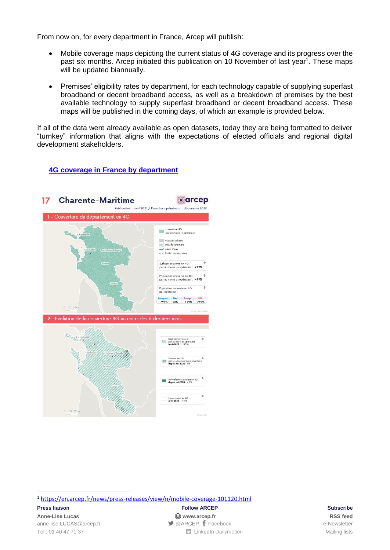From now on, for every department in France, Arcep will publish:

- Mobile coverage maps depicting the current status of 4G coverage and its progress over the past six months. Arcep initiated this publication on 10 November of last year<sup>1</sup>. These maps will be updated biannually.
- Premises' eligibility rates by department, for each technology capable of supplying superfast broadband or decent broadband access, as well as a breakdown of premises by the best available technology to supply superfast broadband or decent broadband access. These maps will be published in the coming days, of which an example is provided below.

If all of the data were already available as open datasets, today they are being formatted to deliver "turnkey" information that aligns with the expectations of elected officials and regional digital development stakeholders.

# **[4G coverage in France by](https://www.arcep.fr/cartes-et-donnees/nos-cartes/la-couverture-4g-en-france-par-departement.html) department**



<sup>1</sup> <https://en.arcep.fr/news/press-releases/view/n/mobile-coverage-101120.html>

1

**Press liaison Follow ARCEP Subscribe Anne-Lise Lucas [www.arcep.fr](http://www.arcep.fr/) [RSS](/feed/::www.arcep.fr:?eID=tx_rssforge&feedid=2&h=14df1) feed** [anne-lise.LUCAS@arcep.fr](mailto:anne-lise.LUCAS@arcep.fr) **[@ARCEP](http://www.twitter.com/ARCEP) F** [Facebook](https://www.facebook.com/arcep.fr) e-Newsletter Tel.: 01 40 47 71 37 Mailing lists **Tel.: 01 40 47 71 37** Mailing lists